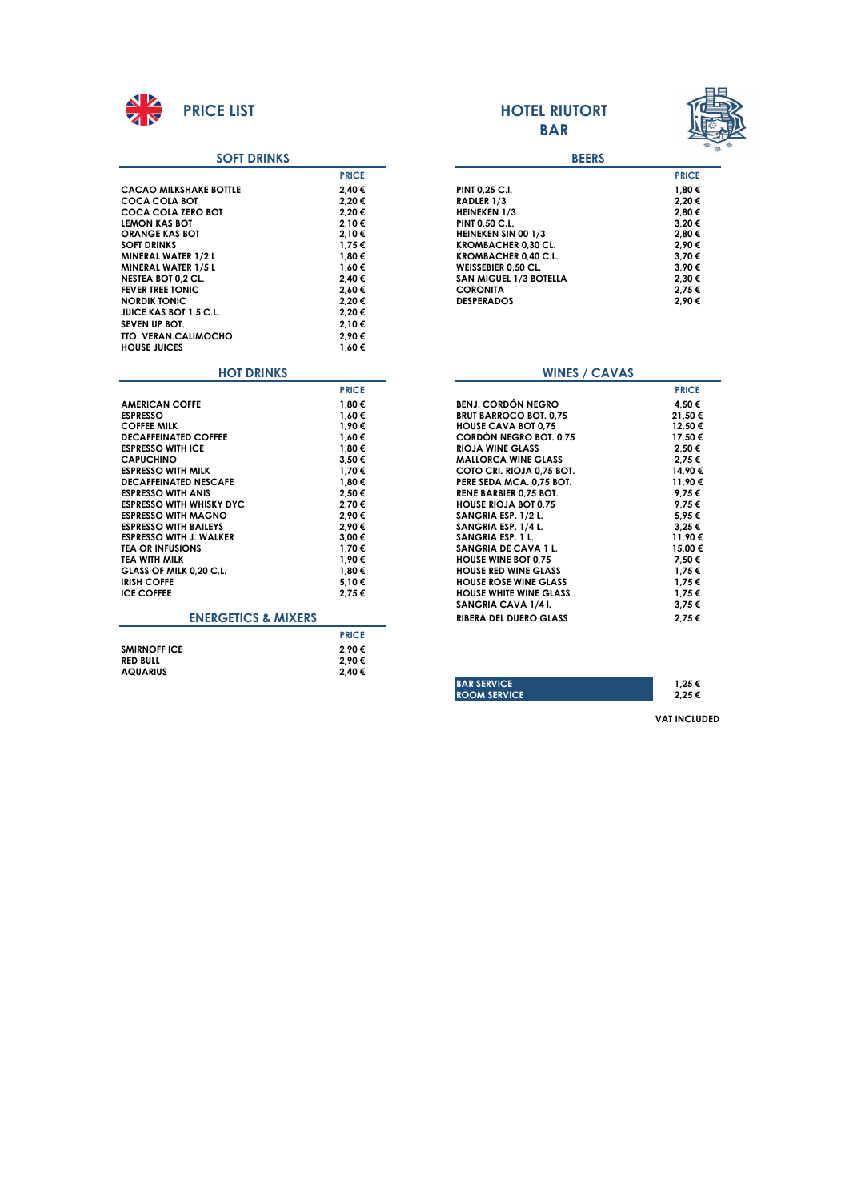

#### **SOFT DRINKS**

|                                 | <b>PRICE</b> |                               | <b>PRICE</b> |
|---------------------------------|--------------|-------------------------------|--------------|
| <b>CACAO MILKSHAKE BOTTLE</b>   | 2,40€        | PINT 0,25 C.I.                | 1,80€        |
| <b>COCA COLA BOT</b>            | 2,20€        | RADLER 1/3                    | 2.20€        |
| <b>COCA COLA ZERO BOT</b>       | 2.20€        | <b>HEINEKEN 1/3</b>           | 2.80€        |
| <b>LEMON KAS BOT</b>            | 2.10€        | PINT 0,50 C.L.                | 3.20€        |
| <b>ORANGE KAS BOT</b>           | 2,10€        | HEINEKEN SIN 00 1/3           | 2,80€        |
| <b>SOFT DRINKS</b>              | 1.75€        | <b>KROMBACHER 0,30 CL.</b>    | 2.90€        |
| MINERAL WATER 1/2 L             | 1,80€        | KROMBACHER 0,40 C.L.          | 3.70€        |
| MINERAL WATER 1/5 L             | 1.60€        | WEISSEBIER 0,50 CL.           | 3.90€        |
| <b>NESTEA BOT 0,2 CL.</b>       | 2,40 €       | SAN MIGUEL 1/3 BOTELLA        | 2,30€        |
| <b>FEVER TREE TONIC</b>         | 2,60€        | <b>CORONITA</b>               | 2,75€        |
| <b>NORDIK TONIC</b>             | 2,20€        | <b>DESPERADOS</b>             | 2,90€        |
| JUICE KAS BOT 1,5 C.L.          | 2,20€        |                               |              |
| SEVEN UP BOT.                   | 2.10€        |                               |              |
| <b>TTO. VERAN.CALIMOCHO</b>     | 2,90€        |                               |              |
| <b>HOUSE JUICES</b>             | 1.60€        |                               |              |
| <b>HOT DRINKS</b>               |              | <b>WINES / CAVAS</b>          |              |
|                                 | <b>PRICE</b> |                               | <b>PRICE</b> |
| <b>AMERICAN COFFE</b>           | 1,80€        | <b>BENJ. CORDÓN NEGRO</b>     | 4,50€        |
| <b>ESPRESSO</b>                 | 1,60€        | <b>BRUT BARROCO BOT. 0.75</b> | 21,50 €      |
| <b>COFFEE MILK</b>              | 1.90€        | <b>HOUSE CAVA BOT 0.75</b>    | 12.50 €      |
| <b>DECAFFEINATED COFFEE</b>     | 1.60€        | <b>CORDÓN NEGRO BOT. 0.75</b> | 17.50 €      |
| <b>ESPRESSO WITH ICE</b>        | 1,80 €       | <b>RIOJA WINE GLASS</b>       | 2.50€        |
| <b>CAPUCHINO</b>                | 3,50€        | <b>MALLORCA WINE GLASS</b>    | 2.75€        |
| <b>ESPRESSO WITH MILK</b>       | 1,70€        | COTO CRI. RIOJA 0,75 BOT.     | 14,90 €      |
| <b>DECAFFEINATED NESCAFE</b>    | 1,80 €       | PERE SEDA MCA. 0,75 BOT.      | 11,90 €      |
| <b>ESPRESSO WITH ANIS</b>       | 2,50€        | <b>RENE BARBIER 0.75 BOT.</b> | 9,75€        |
| <b>ESPRESSO WITH WHISKY DYC</b> | 2,70€        | <b>HOUSE RIOJA BOT 0,75</b>   | 9.75€        |
| <b>ESPRESSO WITH MAGNO</b>      | 2,90€        | SANGRIA ESP. 1/2 L.           | 5.95€        |
| <b>ESPRESSO WITH BAILEYS</b>    | 2,90€        | SANGRIA ESP. 1/4 L.           | 3,25€        |
| <b>ESPRESSO WITH J. WALKER</b>  | 3,00 €       | SANGRIA ESP. 1 L.             | 11,90 €      |
| <b>TEA OR INFUSIONS</b>         | 1,70€        | SANGRIA DE CAVA 1 L.          | 15,00 €      |
| <b>TEA WITH MILK</b>            | 1.90€        | <b>HOUSE WINE BOT 0.75</b>    | 7.50€        |
| GLASS OF MILK 0,20 C.L.         | 1,80 €       | <b>HOUSE RED WINE GLASS</b>   | 1,75€        |
| <b>IRISH COFFE</b>              | 5,10€        | <b>HOUSE ROSE WINE GLASS</b>  | 1,75€        |
| <b>ICE COFFEE</b>               | 2,75€        | <b>HOUSE WHITE WINE GLASS</b> | 1,75€        |
|                                 |              | SANGRIA CAVA 1/4 I.           | 3,75€        |
| <b>ENERGETICS &amp; MIXERS</b>  |              | <b>RIBERA DEL DUERO GLASS</b> | 2.75€        |
|                                 | <b>PRICE</b> |                               |              |
| <b>SMIRNOFF ICE</b>             | 2.90€        |                               |              |
| <b>RED BULL</b>                 | 2.90€        |                               |              |
| <b>AQUARIUS</b>                 | 2.40€        |                               |              |

# **BAR**



|              | <b>BEERS</b>                  |              |
|--------------|-------------------------------|--------------|
| <b>PRICE</b> |                               | <b>PRICE</b> |
| 2.40 €       | <b>PINT 0,25 C.I.</b>         | 1.80€        |
| 2.20€        | <b>RADLER 1/3</b>             | 2.20€        |
| 2.20€        | <b>HEINEKEN 1/3</b>           | 2.80€        |
| 2.10€        | PINT 0.50 C.L.                | 3.20€        |
| 2.10€        | <b>HEINEKEN SIN 00 1/3</b>    | 2.80€        |
| 1.75€        | <b>KROMBACHER 0.30 CL.</b>    | 2.90€        |
| 1.80€        | <b>KROMBACHER 0.40 C.L.</b>   | 3.70€        |
| 1.60€        | <b>WEISSEBIER 0.50 CL.</b>    | 3.90€        |
| 2.40 €       | <b>SAN MIGUEL 1/3 BOTELLA</b> | 2.30€        |
| 2.60€        | <b>CORONITA</b>               | 2.75€        |
| 2.20€        | <b>DESPERADOS</b>             | 2.90€        |

#### **WINES / CAVAS**

| <b>PRICE</b> |                               | <b>PRICE</b> |
|--------------|-------------------------------|--------------|
| 1.80€        | <b>BENJ. CORDÓN NEGRO</b>     | 4,50 €       |
| 1,60€        | <b>BRUT BARROCO BOT. 0,75</b> | 21,50€       |
| 1.90€        | <b>HOUSE CAVA BOT 0.75</b>    | 12,50€       |
| 1.60€        | CORDÓN NEGRO BOT. 0,75        | 17.50€       |
| 1.80€        | <b>RIOJA WINE GLASS</b>       | 2.50€        |
| 3.50€        | <b>MALLORCA WINE GLASS</b>    | 2,75€        |
| 1,70€        | COTO CRI. RIOJA 0.75 BOT.     | 14,90 €      |
| 1.80€        | PERE SEDA MCA. 0.75 BOT.      | 11,90€       |
| 2.50€        | <b>RENE BARBIER 0.75 BOT.</b> | 9.75€        |
| 2.70€        | <b>HOUSE RIOJA BOT 0.75</b>   | 9,75€        |
| 2.90€        | SANGRIA ESP. 1/2 L.           | 5,95€        |
| 2.90€        | SANGRIA ESP. 1/4 L.           | 3,25€        |
| 3,00 €       | SANGRIA ESP. 1 L.             | 11,90€       |
| 1.70€        | SANGRIA DE CAVA 1 L.          | 15,00 €      |
| 1,90€        | <b>HOUSE WINE BOT 0.75</b>    | 7.50€        |
| 1.80€        | <b>HOUSE RED WINE GLASS</b>   | 1,75 €       |
| 5,10€        | <b>HOUSE ROSE WINE GLASS</b>  | 1,75€        |
| 2.75€        | <b>HOUSE WHITE WINE GLASS</b> | 1,75 €       |
|              | SANGRIA CAVA 1/4 I.           | 3,75€        |
|              | <b>RIBERA DEL DUERO GLASS</b> | 2.75€        |
| <b>PRICE</b> |                               |              |

| <b>ROOM SERVICE</b> | 1.25 € |
|---------------------|--------|
|                     | 2.25€  |

**VAT INCLUDED**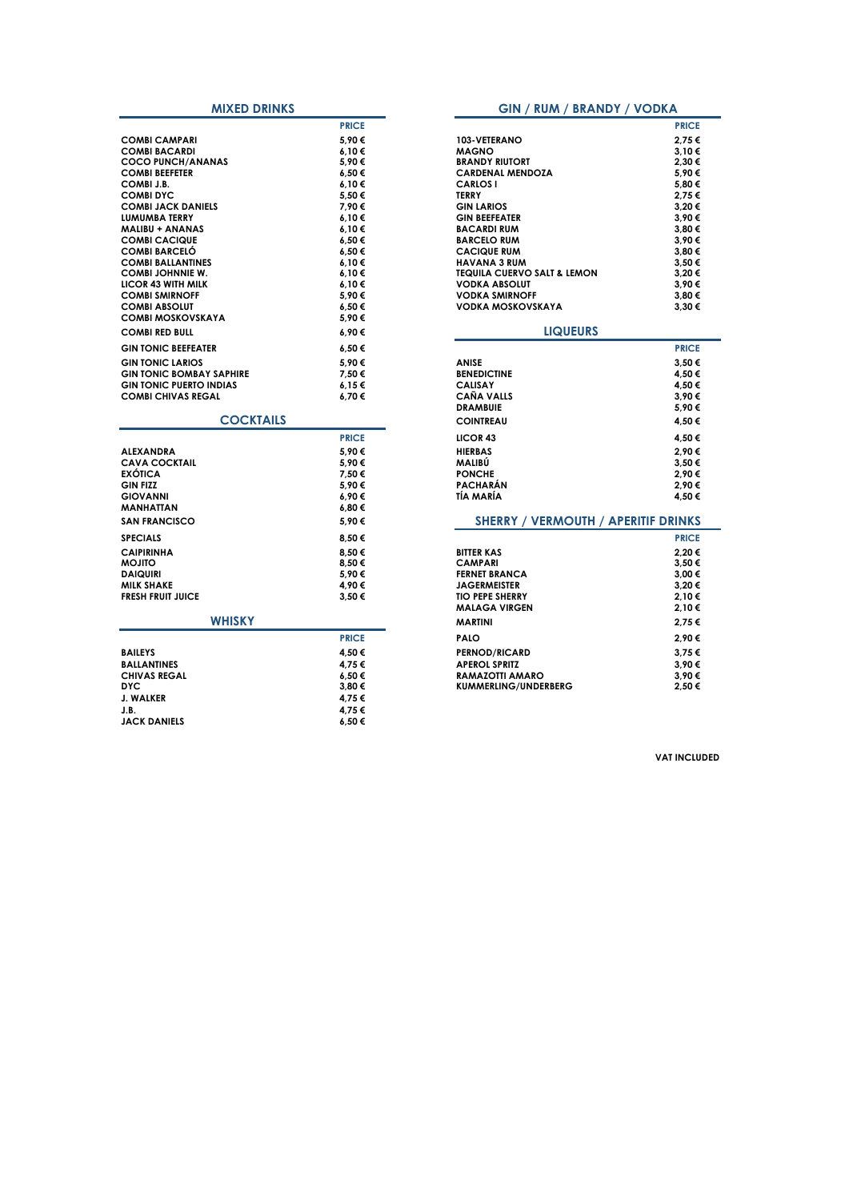| <b>MIXED DRINKS</b>             |              | <b>GIN / RUM / BRANDY / VODKA</b>          |              |
|---------------------------------|--------------|--------------------------------------------|--------------|
|                                 | <b>PRICE</b> |                                            | <b>PRICE</b> |
| <b>COMBI CAMPARI</b>            | 5,90€        | 103-VETERANO                               | 2,75€        |
| <b>COMBI BACARDI</b>            | 6.10€        | <b>MAGNO</b>                               | 3,10€        |
| <b>COCO PUNCH/ANANAS</b>        | 5,90€        | <b>BRANDY RIUTORT</b>                      | 2,30 €       |
| <b>COMBI BEEFETER</b>           | 6,50€        | <b>CARDENAL MENDOZA</b>                    | 5.90€        |
| COMBI J.B.                      | 6,10€        | <b>CARLOS I</b>                            | 5,80 €       |
| <b>COMBI DYC</b>                | 5,50€        | <b>TERRY</b>                               | 2,75 €       |
| <b>COMBI JACK DANIELS</b>       | 7,90€        | <b>GIN LARIOS</b>                          | 3,20€        |
| LUMUMBA TERRY                   | 6.10€        | <b>GIN BEEFEATER</b>                       | 3.90€        |
| <b>MALIBU + ANANAS</b>          | 6,10€        | <b>BACARDI RUM</b>                         | 3,80 €       |
| <b>COMBI CACIQUE</b>            | 6.50€        | <b>BARCELO RUM</b>                         | 3.90€        |
| <b>COMBI BARCELÓ</b>            | 6,50€        | <b>CACIQUE RUM</b>                         | 3,80 €       |
| <b>COMBI BALLANTINES</b>        | 6,10€        | <b>HAVANA 3 RUM</b>                        | 3,50 €       |
| <b>COMBI JOHNNIE W.</b>         | 6,10€        | <b>TEQUILA CUERVO SALT &amp; LEMON</b>     | 3,20€        |
| <b>LICOR 43 WITH MILK</b>       | 6.10€        | <b>VODKA ABSOLUT</b>                       | 3.90€        |
| <b>COMBI SMIRNOFF</b>           | 5,90€        | <b>VODKA SMIRNOFF</b>                      | 3,80 €       |
| <b>COMBI ABSOLUT</b>            | 6,50€        | <b>VODKA MOSKOVSKAYA</b>                   | 3.30 €       |
| <b>COMBI MOSKOVSKAYA</b>        | 5,90€        |                                            |              |
| <b>COMBI RED BULL</b>           | 6,90€        | <b>LIQUEURS</b>                            |              |
| <b>GIN TONIC BEEFEATER</b>      | 6,50€        |                                            | <b>PRICE</b> |
| <b>GIN TONIC LARIOS</b>         | 5,90€        | <b>ANISE</b>                               | 3,50 €       |
| <b>GIN TONIC BOMBAY SAPHIRE</b> | 7,50€        | <b>BENEDICTINE</b>                         | 4,50 €       |
| <b>GIN TONIC PUERTO INDIAS</b>  | 6,15€        | <b>CALISAY</b>                             | 4,50 €       |
| <b>COMBI CHIVAS REGAL</b>       | 6,70€        | <b>CAÑA VALLS</b>                          | 3,90€        |
|                                 |              | <b>DRAMBUIE</b>                            | 5,90€        |
| <b>COCKTAILS</b>                |              | <b>COINTREAU</b>                           | 4,50 €       |
|                                 | <b>PRICE</b> | LICOR <sub>43</sub>                        | 4,50 €       |
| <b>ALEXANDRA</b>                | 5.90€        | <b>HIERBAS</b>                             | 2.90€        |
| <b>CAVA COCKTAIL</b>            | 5,90€        | MALIBU                                     | 3,50 €       |
| <b>EXÓTICA</b>                  | 7,50€        | <b>PONCHE</b>                              | 2.90€        |
| <b>GIN FIZZ</b>                 | 5,90€        | <b>PACHARÁN</b>                            | 2,90€        |
| <b>GIOVANNI</b>                 | 6,90€        | TÍA MARÍA                                  | 4.50 €       |
| <b>MANHATTAN</b>                | 6,80€        |                                            |              |
| <b>SAN FRANCISCO</b>            | 5.90€        | <b>SHERRY / VERMOUTH / APERITIF DRINKS</b> |              |
| <b>SPECIALS</b>                 | 8,50€        |                                            | <b>PRICE</b> |
| <b>CAIPIRINHA</b>               | 8.50€        | <b>BITTER KAS</b>                          | 2.20€        |
| <b>OTILOM</b>                   | 8,50€        | <b>CAMPARI</b>                             | 3,50 €       |
| <b>DAIQUIRI</b>                 | 5,90€        | <b>FERNET BRANCA</b>                       | 3,00 €       |
| <b>MILK SHAKE</b>               | 4.90€        | <b>JAGERMEISTER</b>                        | 3.20€        |
| <b>FRESH FRUIT JUICE</b>        | 3,50€        | <b>TIO PEPE SHERRY</b>                     | 2,10€        |
|                                 |              | <b>MALAGA VIRGEN</b>                       | 2,10€        |
| <b>WHISKY</b>                   |              | <b>MARTINI</b>                             | 2,75€        |
|                                 | <b>PRICE</b> | <b>PALO</b>                                | 2,90€        |
| <b>BAILEYS</b>                  | 4,50 €       | <b>PERNOD/RICARD</b>                       | 3,75€        |
| <b>BALLANTINES</b>              | 4,75€        | <b>APEROL SPRITZ</b>                       | 3,90€        |
| <b>CHIVAS REGAL</b>             | 6,50€        | RAMAZOTTI AMARO                            | 3,90€        |
| <b>DYC</b>                      | 3,80€        | KUMMERLING/UNDERBERG                       | 2,50€        |
| J. WALKER                       | 4,75€        |                                            |              |
| J.B.                            | 4,75€        |                                            |              |
| <b>JACK DANIELS</b>             | 6,50€        |                                            |              |

|              | <b>GIN / RUM / BRANDY / VODKA</b>          |              |
|--------------|--------------------------------------------|--------------|
| <b>PRICE</b> |                                            | <b>PRICE</b> |
| 5,90€        | 103-VETERANO                               | 2,75€        |
| 6,10€        | <b>MAGNO</b>                               | 3,10€        |
| 5,90€        | <b>BRANDY RIUTORT</b>                      | 2,30€        |
| 6,50€        | <b>CARDENAL MENDOZA</b>                    | 5,90€        |
| 6,10€        | <b>CARLOS I</b>                            | 5,80€        |
| 5,50 €       | <b>TERRY</b>                               | 2,75€        |
| 7,90€        | <b>GIN LARIOS</b>                          | 3,20€        |
| 6,10€        | <b>GIN BEEFEATER</b>                       | 3,90€        |
| 6,10€        | <b>BACARDI RUM</b>                         | 3,80€        |
| 6,50€        | <b>BARCELO RUM</b>                         | 3,90€        |
| 6,50€        | <b>CACIQUE RUM</b>                         | 3,80€        |
| 6,10€        | <b>HAVANA 3 RUM</b>                        | 3,50€        |
| 6,10€        | TEQUILA CUERVO SALT & LEMON                | 3,20€        |
| 6,10€        | <b>VODKA ABSOLUT</b>                       | 3,90€        |
| 5,90€        | <b>VODKA SMIRNOFF</b>                      | 3,80€        |
| 6,50€        | VODKA MOSKOVSKAYA                          | 3,30€        |
| 5,90€        |                                            |              |
| 6,90€        | <b>LIQUEURS</b>                            |              |
| 6,50€        |                                            | <b>PRICE</b> |
| 5,90€        | <b>ANISE</b>                               | 3,50€        |
| 7.50€        | <b>BENEDICTINE</b>                         | 4,50 €       |
| 6,15€        | <b>CALISAY</b>                             | 4,50 €       |
| 6,70€        | <b>CAÑA VALLS</b>                          | 3,90€        |
|              | <b>DRAMBUIE</b>                            | 5,90€        |
|              | <b>COINTREAU</b>                           | 4,50€        |
| <b>PRICE</b> | LICOR <sub>43</sub>                        | 4,50 €       |
| 5.90€        | <b>HIERBAS</b>                             | 2.90€        |
| 5,90€        | MALIBU                                     | 3,50€        |
| 7,50€        | <b>PONCHE</b>                              | 2,90€        |
| 5,90€        | <b>PACHARAN</b>                            | 2,90€        |
| 6,90€        | TÍA MARÍA                                  | 4,50 €       |
| 6,80€        |                                            |              |
| 5,90€        | <b>SHERRY / VERMOUTH / APERITIF DRINKS</b> |              |
| 8,50 €       |                                            | <b>PRICE</b> |
| 8,50€        | <b>BITTER KAS</b>                          | 2,20€        |
| 8,50€        | <b>CAMPARI</b>                             | 3,50€        |
| 5,90€        | <b>FERNET BRANCA</b>                       | 3,00 €       |
| 4,90€        | <b>JAGERMEISTER</b>                        | 3,20€        |
| 3,50€        | <b>TIO PEPE SHERRY</b>                     | 2,10€        |
|              | <b>MALAGA VIRGEN</b>                       | 2,10€        |
|              | <b>MARTINI</b>                             | 2,75€        |
| <b>PRICE</b> | <b>PALO</b>                                | 2,90€        |
| 4.50 €       | <b>PERNOD/RICARD</b>                       | 3,75€        |
|              | <b>APEROL SPRITZ</b>                       | 3,90€        |
| 4,75 €       |                                            |              |
| 6,50€        | RAMAZOTTI AMARO                            | 3,90€        |
| 3,80€        | <b>KUMMERLING/UNDERBERG</b>                | 2,50€        |

**VAT INCLUDED**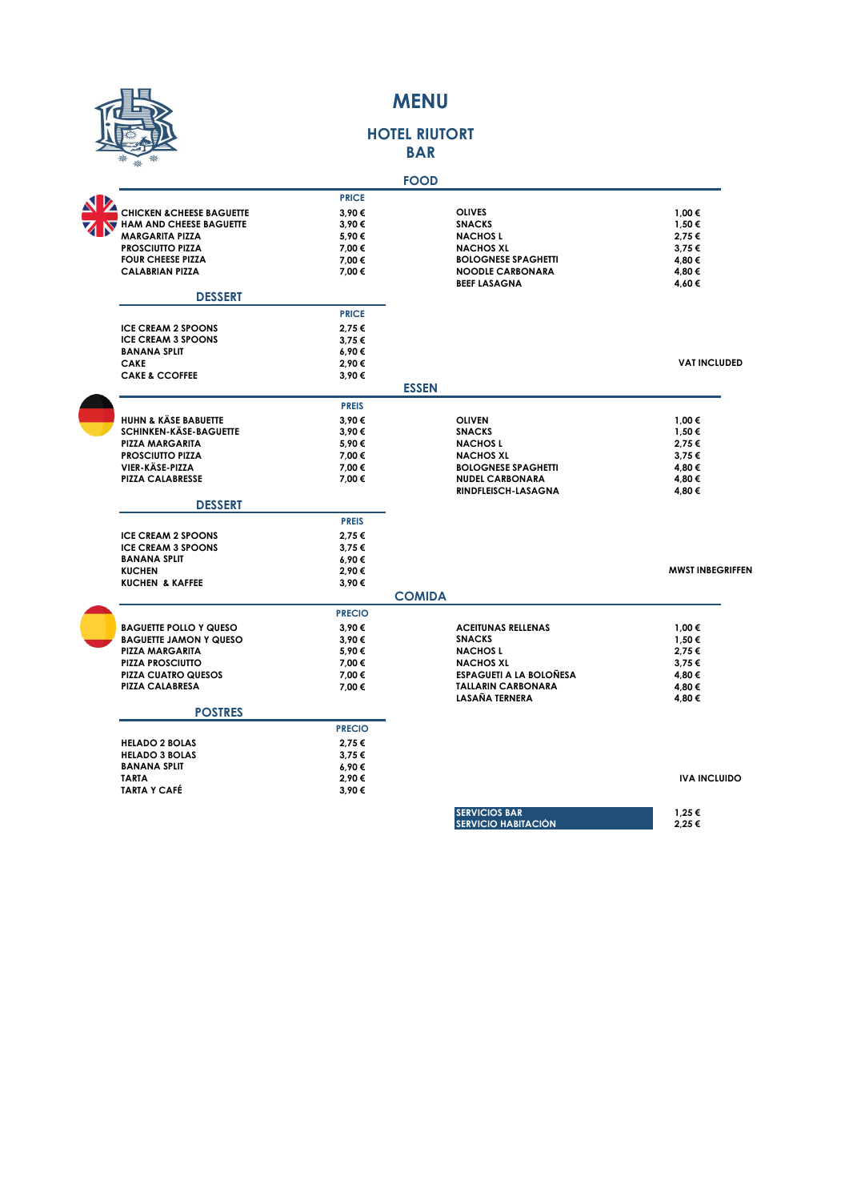

### **MENU**

#### **HOTEL RIUTORT BAR**

|                                      |               | <b>FOOD</b>                    |                         |
|--------------------------------------|---------------|--------------------------------|-------------------------|
|                                      | <b>PRICE</b>  |                                |                         |
| <b>CHICKEN &amp; CHEESE BAGUETTE</b> | 3.90€         | <b>OLIVES</b>                  | 1,00€                   |
| <b>HAM AND CHEESE BAGUETTE</b>       | 3.90€         | <b>SNACKS</b>                  | 1,50 €                  |
| <b>MARGARITA PIZZA</b>               | 5.90€         | <b>NACHOSL</b>                 | 2.75€                   |
| <b>PROSCIUTTO PIZZA</b>              | 7,00 €        | <b>NACHOS XL</b>               | 3,75€                   |
| <b>FOUR CHEESE PIZZA</b>             | 7,00 €        | <b>BOLOGNESE SPAGHETTI</b>     | 4,80 €                  |
| <b>CALABRIAN PIZZA</b>               | 7,00 €        | <b>NOODLE CARBONARA</b>        | 4,80 €                  |
|                                      |               | <b>BEEF LASAGNA</b>            | 4,60€                   |
| <b>DESSERT</b>                       |               |                                |                         |
|                                      | <b>PRICE</b>  |                                |                         |
| <b>ICE CREAM 2 SPOONS</b>            | 2.75€         |                                |                         |
| <b>ICE CREAM 3 SPOONS</b>            | 3,75€         |                                |                         |
| <b>BANANA SPLIT</b>                  | 6,90€         |                                |                         |
| <b>CAKE</b>                          | 2,90€         |                                | <b>VAT INCLUDED</b>     |
| <b>CAKE &amp; CCOFFEE</b>            | 3,90€         |                                |                         |
|                                      |               | <b>ESSEN</b>                   |                         |
|                                      | <b>PREIS</b>  |                                |                         |
| <b>HUHN &amp; KÄSE BABUETTE</b>      | 3.90€         | <b>OLIVEN</b>                  | 1,00 €                  |
| <b>SCHINKEN-KÄSE-BAGUETTE</b>        | 3,90€         | <b>SNACKS</b>                  | 1,50€                   |
| <b>PIZZA MARGARITA</b>               | 5.90€         | <b>NACHOSL</b>                 | 2.75€                   |
| <b>PROSCIUTTO PIZZA</b>              | 7,00 €        | <b>NACHOS XL</b>               | 3,75€                   |
| VIER-KÄSE-PIZZA                      | 7,00 €        | <b>BOLOGNESE SPAGHETTI</b>     | 4,80€                   |
| <b>PIZZA CALABRESSE</b>              | 7.00 €        | <b>NUDEL CARBONARA</b>         | 4,80 €                  |
|                                      |               | RINDFLEISCH-LASAGNA            | 4,80€                   |
| <b>DESSERT</b>                       |               |                                |                         |
|                                      | <b>PREIS</b>  |                                |                         |
| <b>ICE CREAM 2 SPOONS</b>            | 2.75€         |                                |                         |
| <b>ICE CREAM 3 SPOONS</b>            | 3.75€         |                                |                         |
| <b>BANANA SPLIT</b>                  | 6,90€         |                                |                         |
| <b>KUCHEN</b>                        | 2.90€         |                                | <b>MWST INBEGRIFFEN</b> |
| <b>KUCHEN &amp; KAFFEE</b>           | 3,90€         |                                |                         |
|                                      |               | <b>COMIDA</b>                  |                         |
|                                      | <b>PRECIO</b> |                                |                         |
| <b>BAGUETTE POLLO Y QUESO</b>        | 3.90€         | <b>ACEITUNAS RELLENAS</b>      | 1,00 €                  |
| <b>BAGUETTE JAMON Y QUESO</b>        | 3.90€         | <b>SNACKS</b>                  | 1,50 €                  |
| <b>PIZZA MARGARITA</b>               | 5,90€         | <b>NACHOSL</b>                 | 2,75€                   |
| <b>PIZZA PROSCIUTTO</b>              | 7,00 €        | <b>NACHOS XL</b>               | 3,75€                   |
| <b>PIZZA CUATRO QUESOS</b>           | 7,00 €        | <b>ESPAGUETI A LA BOLOÑESA</b> | 4,80 €                  |
| <b>PIZZA CALABRESA</b>               | 7,00 €        | <b>TALLARIN CARBONARA</b>      | 4,80€                   |
|                                      |               | LASAÑA TERNERA                 | 4,80 €                  |
| <b>POSTRES</b>                       |               |                                |                         |
|                                      | <b>PRECIO</b> |                                |                         |
| <b>HELADO 2 BOLAS</b>                | 2.75€         |                                |                         |
| <b>HELADO 3 BOLAS</b>                | 3,75€         |                                |                         |
| <b>BANANA SPLIT</b>                  | 6,90€         |                                |                         |
| <b>TARTA</b>                         | 2,90€         |                                | <b>IVA INCLUIDO</b>     |
| <b>TARTA Y CAFÉ</b>                  | 3,90€         |                                |                         |
|                                      |               | <b>SERVICIOS BAR</b>           | 1,25 €                  |
|                                      |               | <b>SERVICIO HABITACIÓN</b>     | 2,25€                   |
|                                      |               |                                |                         |